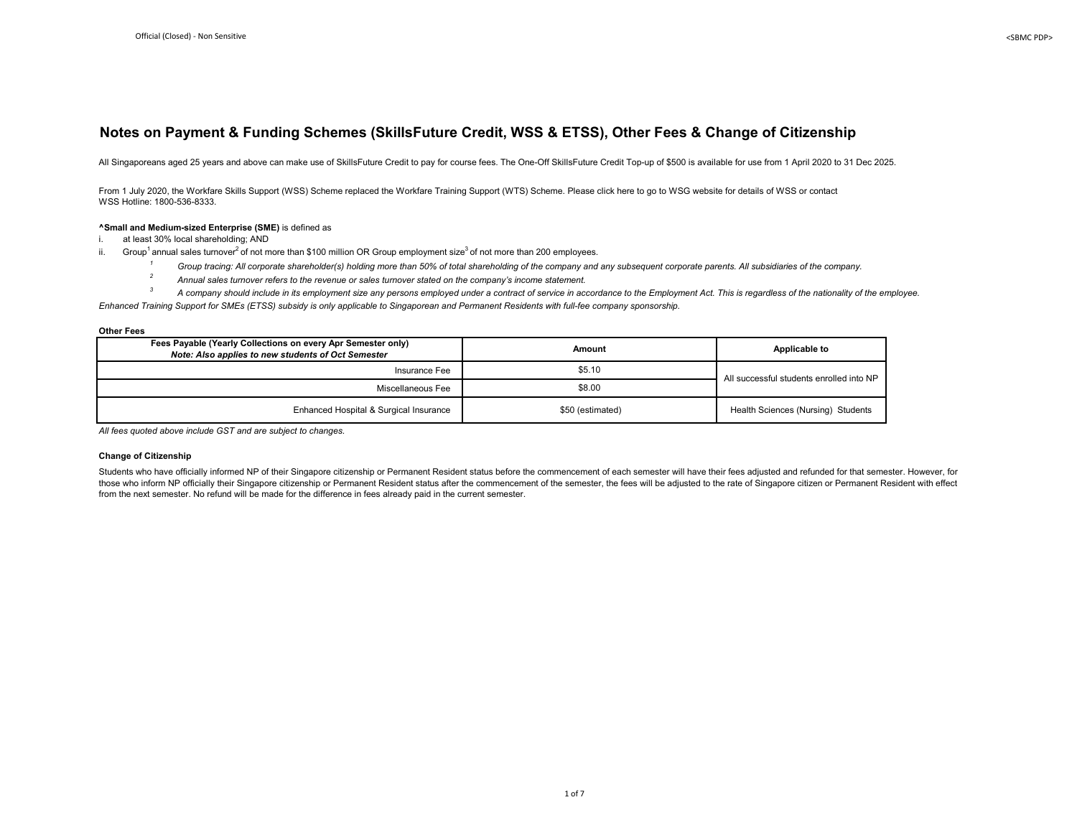## **Notes on Payment & Funding Schemes (SkillsFuture Credit, WSS & ETSS), Other Fees & Change of Citizenship**

All Singaporeans aged 25 years and above can make use of SkillsFuture Credit to pay for course fees. The One-Off SkillsFuture Credit Top-up of \$500 is available for use from 1 April 2020 to 31 Dec 2025.

From 1 July 2020, the Workfare Skills Support (WSS) Scheme replaced the Workfare Training Support (WTS) Scheme. Please click here to go to WSG website for details of WSS or contact WSS Hotline: 1800-536-8333.

#### **^Small and Medium-sized Enterprise (SME)** is defined as

i. at least 30% local shareholding; AND

- ii. Group<sup>1</sup> annual sales turnover<sup>2</sup> of not more than \$100 million OR Group employment size<sup>3</sup> of not more than 200 employees.
	- <sup>1</sup> Group tracing: All corporate shareholder(s) holding more than 50% of total shareholding of the company and any subsequent corporate parents. All subsidiaries of the company.
	- <sup>2</sup> Annual sales turnover refers to the revenue or sales turnover stated on the company's income statement.

*3 A company should include in its employment size any persons employed under a contract of service in accordance to the Employment Act. This is regardless of the nationality of the employee. Enhanced Training Support for SMEs (ETSS) subsidy is only applicable to Singaporean and Permanent Residents with full-fee company sponsorship.*

**Other Fees**

| Fees Payable (Yearly Collections on every Apr Semester only)<br>Note: Also applies to new students of Oct Semester | Amount           | Applicable to                            |
|--------------------------------------------------------------------------------------------------------------------|------------------|------------------------------------------|
| Insurance Fee                                                                                                      | \$5.10           | All successful students enrolled into NP |
| Miscellaneous Fee                                                                                                  | \$8.00           |                                          |
| Enhanced Hospital & Surgical Insurance                                                                             | \$50 (estimated) | Health Sciences (Nursing) Students       |

*All fees quoted above include GST and are subject to changes.*

### **Change of Citizenship**

Students who have officially informed NP of their Singapore citizenship or Permanent Resident status before the commencement of each semester will have their fees adjusted and refunded for that semester. However, for those who inform NP officially their Singapore citizenship or Permanent Resident status after the commencement of the semester, the fees will be adjusted to the rate of Singapore citizen or Permanent Resident with effect from the next semester. No refund will be made for the difference in fees already paid in the current semester.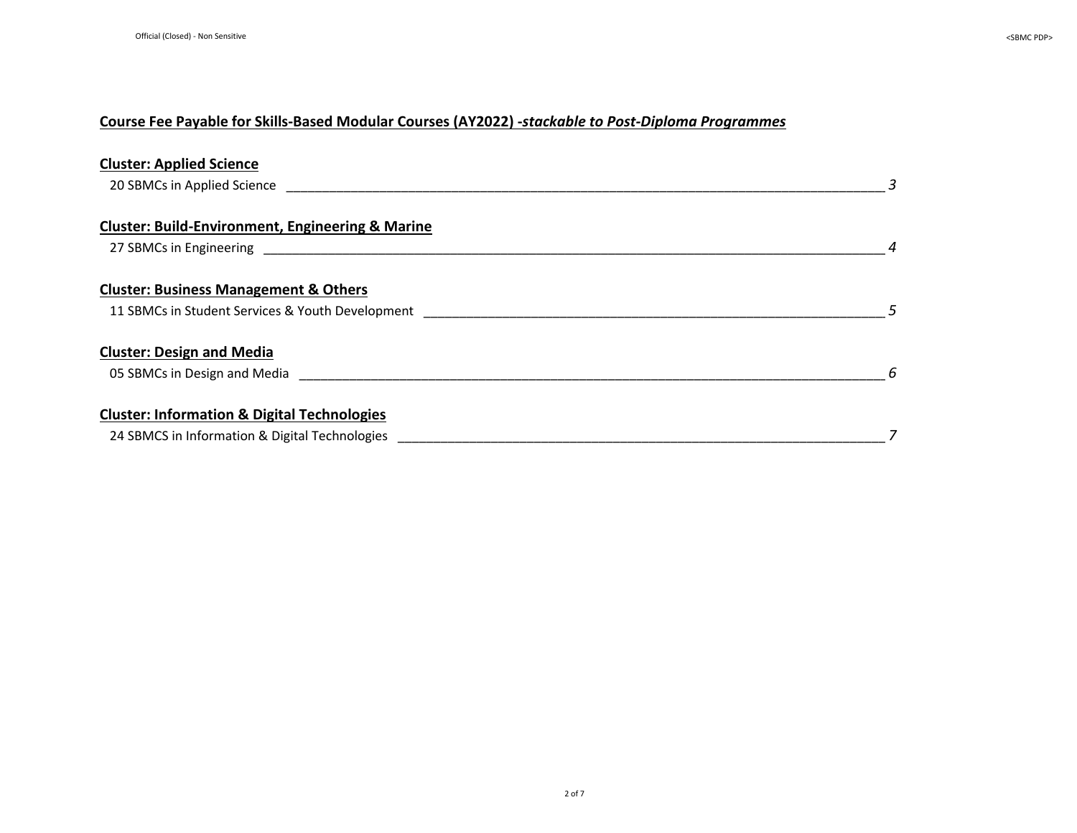| <b>Cluster: Applied Science</b>                                                                                                                                                                                                     |   |
|-------------------------------------------------------------------------------------------------------------------------------------------------------------------------------------------------------------------------------------|---|
| 20 SBMCs in Applied Science and the state of the state of the state of the state of the state of the state of the state of the state of the state of the state of the state of the state of the state of the state of the stat      | 3 |
| <b>Cluster: Build-Environment, Engineering &amp; Marine</b>                                                                                                                                                                         |   |
| 27 SBMCs in Engineering and the state of the state of the state of the state of the state of the state of the state of the state of the state of the state of the state of the state of the state of the state of the state of      |   |
| <b>Cluster: Business Management &amp; Others</b>                                                                                                                                                                                    |   |
| 11 SBMCs in Student Services & Youth Development                                                                                                                                                                                    |   |
| <b>Cluster: Design and Media</b>                                                                                                                                                                                                    |   |
| 05 SBMCs in Design and Media <b>State State State State State State</b> State State State State State State State State State State State State State State State State State State State State State State State State State State | 6 |
| <b>Cluster: Information &amp; Digital Technologies</b>                                                                                                                                                                              |   |
| 24 SBMCS in Information & Digital Technologies                                                                                                                                                                                      |   |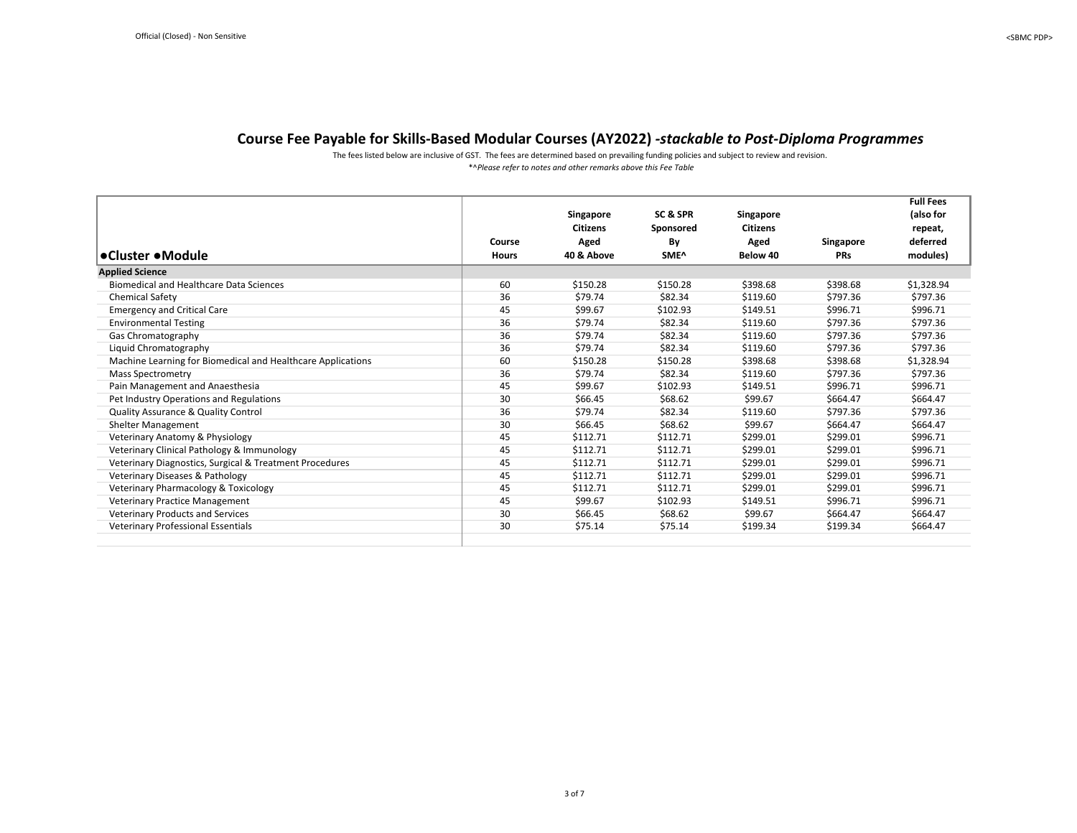\*^*Please refer to notes and other remarks above this Fee Table* The fees listed below are inclusive of GST. The fees are determined based on prevailing funding policies and subject to review and revision.

<span id="page-2-0"></span>

|                                                             |              |                 |           |           |            | <b>Full Fees</b> |
|-------------------------------------------------------------|--------------|-----------------|-----------|-----------|------------|------------------|
|                                                             |              | Singapore       | SC & SPR  | Singapore |            | (also for        |
|                                                             |              | <b>Citizens</b> | Sponsored | Citizens  |            | repeat,          |
|                                                             | Course       | Aged            | By        | Aged      | Singapore  | deferred         |
| ∣•Cluster •Module                                           | <b>Hours</b> | 40 & Above      | SME^      | Below 40  | <b>PRs</b> | modules)         |
| <b>Applied Science</b>                                      |              |                 |           |           |            |                  |
| <b>Biomedical and Healthcare Data Sciences</b>              | 60           | \$150.28        | \$150.28  | \$398.68  | \$398.68   | \$1,328.94       |
| <b>Chemical Safety</b>                                      | 36           | \$79.74         | \$82.34   | \$119.60  | \$797.36   | \$797.36         |
| <b>Emergency and Critical Care</b>                          | 45           | \$99.67         | \$102.93  | \$149.51  | \$996.71   | \$996.71         |
| <b>Environmental Testing</b>                                | 36           | \$79.74         | \$82.34   | \$119.60  | \$797.36   | \$797.36         |
| Gas Chromatography                                          | 36           | \$79.74         | \$82.34   | \$119.60  | \$797.36   | \$797.36         |
| Liquid Chromatography                                       | 36           | \$79.74         | \$82.34   | \$119.60  | \$797.36   | \$797.36         |
| Machine Learning for Biomedical and Healthcare Applications | 60           | \$150.28        | \$150.28  | \$398.68  | \$398.68   | \$1,328.94       |
| <b>Mass Spectrometry</b>                                    | 36           | \$79.74         | \$82.34   | \$119.60  | \$797.36   | \$797.36         |
| Pain Management and Anaesthesia                             | 45           | \$99.67         | \$102.93  | \$149.51  | \$996.71   | \$996.71         |
| Pet Industry Operations and Regulations                     | 30           | \$66.45         | \$68.62   | \$99.67   | \$664.47   | \$664.47         |
| Quality Assurance & Quality Control                         | 36           | \$79.74         | \$82.34   | \$119.60  | \$797.36   | \$797.36         |
| <b>Shelter Management</b>                                   | 30           | \$66.45         | \$68.62   | \$99.67   | \$664.47   | \$664.47         |
| Veterinary Anatomy & Physiology                             | 45           | \$112.71        | \$112.71  | \$299.01  | \$299.01   | \$996.71         |
| Veterinary Clinical Pathology & Immunology                  | 45           | \$112.71        | \$112.71  | \$299.01  | \$299.01   | \$996.71         |
| Veterinary Diagnostics, Surgical & Treatment Procedures     | 45           | \$112.71        | \$112.71  | \$299.01  | \$299.01   | \$996.71         |
| Veterinary Diseases & Pathology                             | 45           | \$112.71        | \$112.71  | \$299.01  | \$299.01   | \$996.71         |
| Veterinary Pharmacology & Toxicology                        | 45           | \$112.71        | \$112.71  | \$299.01  | \$299.01   | \$996.71         |
| <b>Veterinary Practice Management</b>                       | 45           | \$99.67         | \$102.93  | \$149.51  | \$996.71   | \$996.71         |
| Veterinary Products and Services                            | 30           | \$66.45         | \$68.62   | \$99.67   | \$664.47   | \$664.47         |
| <b>Veterinary Professional Essentials</b>                   | 30           | \$75.14         | \$75.14   | \$199.34  | \$199.34   | \$664.47         |
|                                                             |              |                 |           |           |            |                  |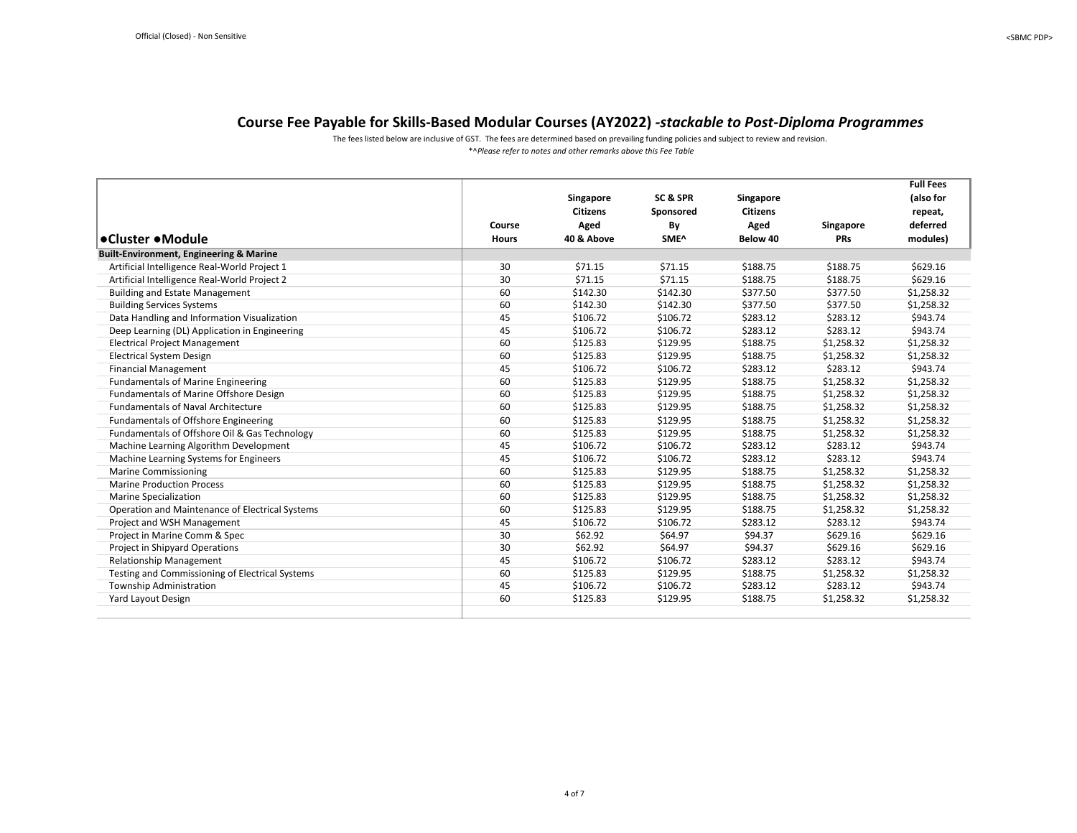The fees listed below are inclusive of GST. The fees are determined based on prevailing funding policies and subject to review and revision.

| *^Please refer to notes and other remarks above this Fee Table |  |
|----------------------------------------------------------------|--|
|----------------------------------------------------------------|--|

<span id="page-3-0"></span>

|                                                    |              |                 |                  |                 |            | <b>Full Fees</b> |
|----------------------------------------------------|--------------|-----------------|------------------|-----------------|------------|------------------|
|                                                    |              | Singapore       | SC & SPR         | Singapore       |            | (also for        |
|                                                    |              | <b>Citizens</b> | Sponsored        | <b>Citizens</b> |            | repeat,          |
|                                                    | Course       | Aged            | By               | Aged            | Singapore  | deferred         |
| •Cluster •Module                                   | <b>Hours</b> | 40 & Above      | SME <sup>^</sup> | Below 40        | <b>PRs</b> | modules)         |
| <b>Built-Environment, Engineering &amp; Marine</b> |              |                 |                  |                 |            |                  |
| Artificial Intelligence Real-World Project 1       | 30           | \$71.15         | \$71.15          | \$188.75        | \$188.75   | \$629.16         |
| Artificial Intelligence Real-World Project 2       | 30           | \$71.15         | \$71.15          | \$188.75        | \$188.75   | \$629.16         |
| <b>Building and Estate Management</b>              | 60           | \$142.30        | \$142.30         | \$377.50        | \$377.50   | \$1,258.32       |
| <b>Building Services Systems</b>                   | 60           | \$142.30        | \$142.30         | \$377.50        | \$377.50   | \$1,258.32       |
| Data Handling and Information Visualization        | 45           | \$106.72        | \$106.72         | \$283.12        | \$283.12   | \$943.74         |
| Deep Learning (DL) Application in Engineering      | 45           | \$106.72        | \$106.72         | \$283.12        | \$283.12   | \$943.74         |
| <b>Electrical Project Management</b>               | 60           | \$125.83        | \$129.95         | \$188.75        | \$1,258.32 | \$1,258.32       |
| <b>Electrical System Design</b>                    | 60           | \$125.83        | \$129.95         | \$188.75        | \$1,258.32 | \$1,258.32       |
| <b>Financial Management</b>                        | 45           | \$106.72        | \$106.72         | \$283.12        | \$283.12   | \$943.74         |
| <b>Fundamentals of Marine Engineering</b>          | 60           | \$125.83        | \$129.95         | \$188.75        | \$1,258.32 | \$1,258.32       |
| Fundamentals of Marine Offshore Design             | 60           | \$125.83        | \$129.95         | \$188.75        | \$1,258.32 | \$1,258.32       |
| <b>Fundamentals of Naval Architecture</b>          | 60           | \$125.83        | \$129.95         | \$188.75        | \$1,258.32 | \$1,258.32       |
| Fundamentals of Offshore Engineering               | 60           | \$125.83        | \$129.95         | \$188.75        | \$1,258.32 | \$1,258.32       |
| Fundamentals of Offshore Oil & Gas Technology      | 60           | \$125.83        | \$129.95         | \$188.75        | \$1,258.32 | \$1,258.32       |
| Machine Learning Algorithm Development             | 45           | \$106.72        | \$106.72         | \$283.12        | \$283.12   | \$943.74         |
| Machine Learning Systems for Engineers             | 45           | \$106.72        | \$106.72         | \$283.12        | \$283.12   | \$943.74         |
| <b>Marine Commissioning</b>                        | 60           | \$125.83        | \$129.95         | \$188.75        | \$1,258.32 | \$1,258.32       |
| <b>Marine Production Process</b>                   | 60           | \$125.83        | \$129.95         | \$188.75        | \$1,258.32 | \$1,258.32       |
| <b>Marine Specialization</b>                       | 60           | \$125.83        | \$129.95         | \$188.75        | \$1,258.32 | \$1,258.32       |
| Operation and Maintenance of Electrical Systems    | 60           | \$125.83        | \$129.95         | \$188.75        | \$1,258.32 | \$1,258.32       |
| Project and WSH Management                         | 45           | \$106.72        | \$106.72         | \$283.12        | \$283.12   | \$943.74         |
| Project in Marine Comm & Spec                      | 30           | \$62.92         | \$64.97          | \$94.37         | \$629.16   | \$629.16         |
| Project in Shipyard Operations                     | 30           | \$62.92         | \$64.97          | \$94.37         | \$629.16   | \$629.16         |
| <b>Relationship Management</b>                     | 45           | \$106.72        | \$106.72         | \$283.12        | \$283.12   | \$943.74         |
| Testing and Commissioning of Electrical Systems    | 60           | \$125.83        | \$129.95         | \$188.75        | \$1,258.32 | \$1,258.32       |
| Township Administration                            | 45           | \$106.72        | \$106.72         | \$283.12        | \$283.12   | \$943.74         |
| Yard Layout Design                                 | 60           | \$125.83        | \$129.95         | \$188.75        | \$1,258.32 | \$1,258.32       |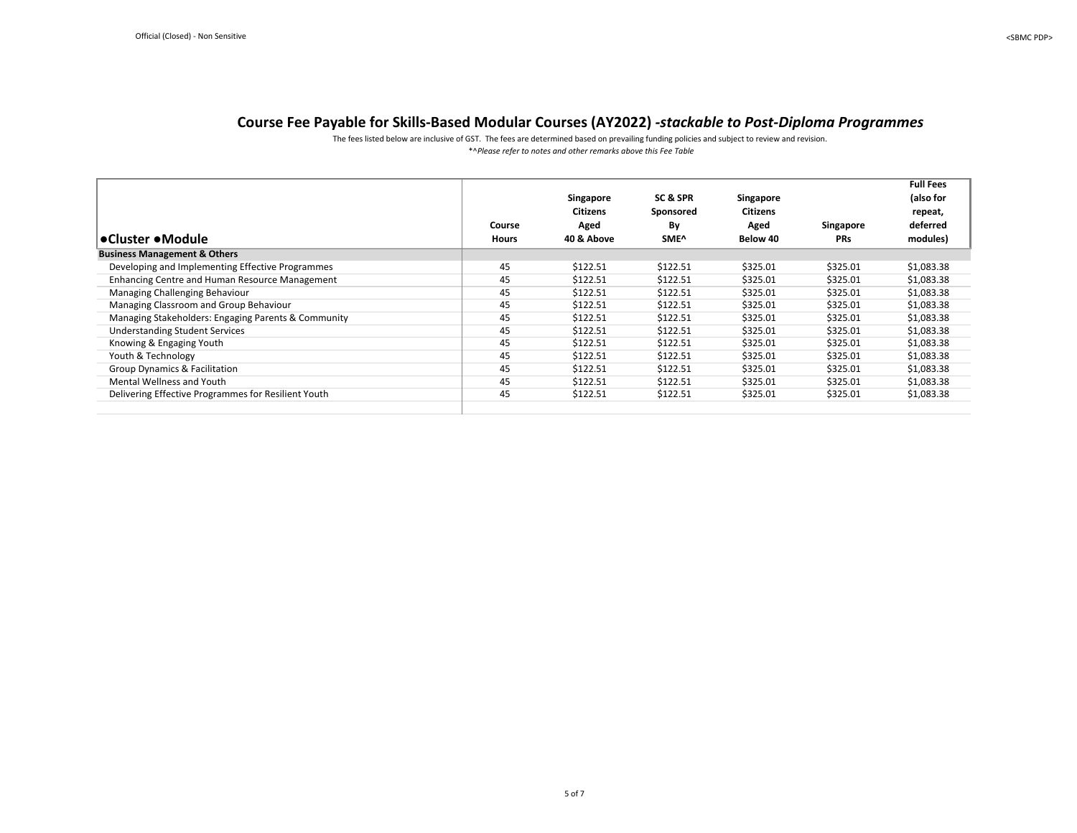\*^*Please refer to notes and other remarks above this Fee Table* The fees listed below are inclusive of GST. The fees are determined based on prevailing funding policies and subject to review and revision.

<span id="page-4-0"></span>

| l•Cluster •Module                                   | Course<br><b>Hours</b> | Singapore<br>Citizens<br>Aged<br>40 & Above | SC & SPR<br>Sponsored<br>By<br>SME <sup>^</sup> | Singapore<br>Citizens<br>Aged<br>Below 40 | Singapore<br><b>PRs</b> | <b>Full Fees</b><br>(also for<br>repeat,<br>deferred<br>modules) |
|-----------------------------------------------------|------------------------|---------------------------------------------|-------------------------------------------------|-------------------------------------------|-------------------------|------------------------------------------------------------------|
| <b>Business Management &amp; Others</b>             |                        |                                             |                                                 |                                           |                         |                                                                  |
| Developing and Implementing Effective Programmes    | 45                     | \$122.51                                    | \$122.51                                        | \$325.01                                  | \$325.01                | \$1,083.38                                                       |
| Enhancing Centre and Human Resource Management      | 45                     | \$122.51                                    | \$122.51                                        | \$325.01                                  | \$325.01                | \$1,083.38                                                       |
| Managing Challenging Behaviour                      | 45                     | \$122.51                                    | \$122.51                                        | \$325.01                                  | \$325.01                | \$1,083.38                                                       |
| Managing Classroom and Group Behaviour              | 45                     | \$122.51                                    | \$122.51                                        | \$325.01                                  | \$325.01                | \$1,083.38                                                       |
| Managing Stakeholders: Engaging Parents & Community | 45                     | \$122.51                                    | \$122.51                                        | \$325.01                                  | \$325.01                | \$1,083.38                                                       |
| <b>Understanding Student Services</b>               | 45                     | \$122.51                                    | \$122.51                                        | \$325.01                                  | \$325.01                | \$1,083.38                                                       |
| Knowing & Engaging Youth                            | 45                     | \$122.51                                    | \$122.51                                        | \$325.01                                  | \$325.01                | \$1,083.38                                                       |
| Youth & Technology                                  | 45                     | \$122.51                                    | \$122.51                                        | \$325.01                                  | \$325.01                | \$1,083.38                                                       |
| <b>Group Dynamics &amp; Facilitation</b>            | 45                     | \$122.51                                    | \$122.51                                        | \$325.01                                  | \$325.01                | \$1,083.38                                                       |
| Mental Wellness and Youth                           | 45                     | \$122.51                                    | \$122.51                                        | \$325.01                                  | \$325.01                | \$1,083.38                                                       |
| Delivering Effective Programmes for Resilient Youth | 45                     | \$122.51                                    | \$122.51                                        | \$325.01                                  | \$325.01                | \$1,083.38                                                       |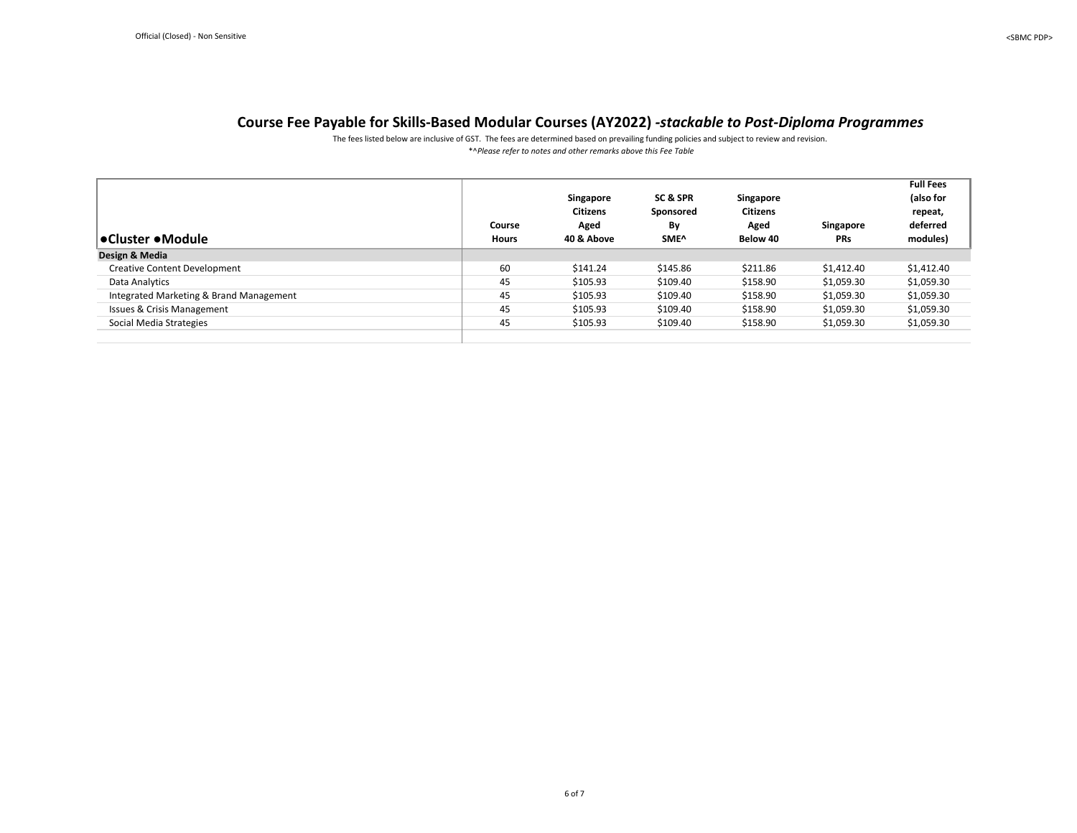\*^*Please refer to notes and other remarks above this Fee Table* The fees listed below are inclusive of GST. The fees are determined based on prevailing funding policies and subject to review and revision.

<span id="page-5-0"></span>

| ∣•Cluster •Module                       | Course<br><b>Hours</b> | Singapore<br><b>Citizens</b><br>Aged<br>40 & Above | SC & SPR<br>Sponsored<br>By<br>SME <sup>^</sup> | Singapore<br><b>Citizens</b><br>Aged<br>Below 40 | Singapore<br><b>PRs</b> | <b>Full Fees</b><br>(also for<br>repeat,<br>deferred<br>modules) |
|-----------------------------------------|------------------------|----------------------------------------------------|-------------------------------------------------|--------------------------------------------------|-------------------------|------------------------------------------------------------------|
| Design & Media                          |                        |                                                    |                                                 |                                                  |                         |                                                                  |
| <b>Creative Content Development</b>     | 60                     | \$141.24                                           | \$145.86                                        | \$211.86                                         | \$1,412.40              | \$1,412.40                                                       |
| Data Analytics                          | 45                     | \$105.93                                           | \$109.40                                        | \$158.90                                         | \$1,059.30              | \$1,059.30                                                       |
| Integrated Marketing & Brand Management | 45                     | \$105.93                                           | \$109.40                                        | \$158.90                                         | \$1,059.30              | \$1,059.30                                                       |
| <b>Issues &amp; Crisis Management</b>   | 45                     | \$105.93                                           | \$109.40                                        | \$158.90                                         | \$1,059.30              | \$1,059.30                                                       |
| Social Media Strategies                 | 45                     | \$105.93                                           | \$109.40                                        | \$158.90                                         | \$1,059.30              | \$1,059.30                                                       |